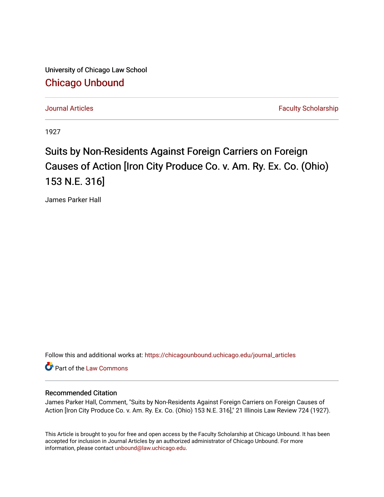University of Chicago Law School [Chicago Unbound](https://chicagounbound.uchicago.edu/)

[Journal Articles](https://chicagounbound.uchicago.edu/journal_articles) **Faculty Scholarship Journal Articles** 

1927

## Suits by Non-Residents Against Foreign Carriers on Foreign Causes of Action [Iron City Produce Co. v. Am. Ry. Ex. Co. (Ohio) 153 N.E. 316]

James Parker Hall

Follow this and additional works at: [https://chicagounbound.uchicago.edu/journal\\_articles](https://chicagounbound.uchicago.edu/journal_articles?utm_source=chicagounbound.uchicago.edu%2Fjournal_articles%2F9413&utm_medium=PDF&utm_campaign=PDFCoverPages) 

Part of the [Law Commons](http://network.bepress.com/hgg/discipline/578?utm_source=chicagounbound.uchicago.edu%2Fjournal_articles%2F9413&utm_medium=PDF&utm_campaign=PDFCoverPages)

## Recommended Citation

James Parker Hall, Comment, "Suits by Non-Residents Against Foreign Carriers on Foreign Causes of Action [Iron City Produce Co. v. Am. Ry. Ex. Co. (Ohio) 153 N.E. 316]," 21 Illinois Law Review 724 (1927).

This Article is brought to you for free and open access by the Faculty Scholarship at Chicago Unbound. It has been accepted for inclusion in Journal Articles by an authorized administrator of Chicago Unbound. For more information, please contact [unbound@law.uchicago.edu](mailto:unbound@law.uchicago.edu).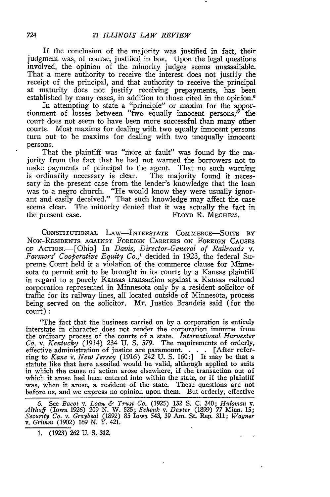If the conclusion of the majority was justified in fact, their judgment was, of course, justified in law. Upon the legal questions involved, the opinion of the minority judges seems unassailable. That a mere authority to receive the interest does not justify the receipt of the principal, and that authority to receive the principal at maturity does not justify receiving prepayments, has been established by many cases, in addition to those cited in the opinion.<sup>6</sup>

In attempting to state a "principle" or maxim for the apportionment of losses between "two equally innocent persons," the court does not seem to have been more successful than many other courts. Most maxims for dealing with two equally innocent persons turn out to be maxims for dealing with two unequally innocent persons.

That the plaintiff was "more at fault" was found by the majority from the fact that he had not warned the borrowers not to make payments of principal to the agent. That no such warning is ordinarily necessary is clear. The majority found it necessary in the present case from the lender's knowledge that the loan was to a negro church. "He would know they were usually ignorant and easily deceived." That such knowledge may affect the case seems clear. The minority denied that it was actually the fact in the present case. FLOYD R. MECHEM.

CONSTITUTIONAL LAW-INTERSTATE COMMERCE-SUITS BY NON-RESIDENTS AGAINST FOREIGN CARRIERS ON FOREIGN CAUSES OF ACTION.-[Ohio] In *Davis, Director-General of Railroads v. Farmers" Cooperative Equity Co.,'* decided in 1923, the federal Supreme Court held it a violation of the commerce clause for Minnesota to permit suit to be brought in its courts by a Kansas plaintiff in regard to a purely Kansas transaction against a Kansas railroad corporation represented in Minnesota only by a resident solicitor of traffic for its railway lines, all located outside of Minnesota, process being served on the solicitor. Mr. Justice Brandeis said (for the court)

"The fact that the business carried on by a corporation is entirely interstate in character does not render the corporation immune from the ordinary process of the courts of a state. *International Harvester Co. v. Kentucky* (1914) 234 U. S. *579.* The requirements of orderly, effective administration of justice are paramount. . . **.** [After refer-ring to *Kane v.* New *Jersey* (1916) 242 U. S. 160:] It may be that a statute like that here assailed would be valid, although applied to suits in which the cause of action arose elsewhere, if the transaction out of which it arose had been entered into within the state, or if the plaintiff was, when it arose, a resident of the state. These questions are not before us, and we express no opinion upon them. But orderly, effective

6. See *Bacot v. Loan & Trust Co.* (1925) **132 S. C.** 340; *Huismain v. Althoff* (Iowa 1926) 209 N. W. 525; *Schenk v. Dexter* (1899) *77* Minn. 15; *Security Co. v. Graybeal* (1892) 85 Iowa 543, 39 Am.. St. Rep. 311; *Wagner v. Grimm* (1902) 169 N. Y. 421.

1. (1923) 262 U. S. 312.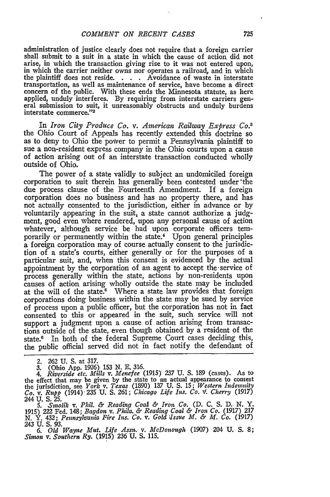administration of justice clearly does not require that a foreign carrier shall submit to a suit in a state in which the cause of action did not arise, in which the transaction giving rise to it was not entered upon, in which the carrier neither owns nor operates a railroad, and in which the plaintiff does not reside. . **.** . Avoidance of waste in interstate transportation, as well as maintenance of service, have become a direct concern of the public. With these ends the Minnesota statute, as here applied, unduly interferes. **By** requiring from interstate carriers general submission to suit, it unreasonably obstructs and unduly burdens interstate commerce."<sup>2</sup>

In *Iron City Produce Co. v. American Railway Express Co.3* the Ohio Court of Appeals has recently extended this doctrine so as to deny to Ohio the power to permit a Pennsylvania plaintiff to sue a non-resident express company in the Ohio courts upon a cause of action arising out of an interstate transaction conducted wholly outside of Ohio.

The power of a state validly to subject an undomiciled foreign corporation to suit therein has generally been contested under'the due process clause of the Fourteenth Amendment. If a foreign corporation does no business and has no property there, and has not actually consented to the jurisdiction, either in advance or **by** voluntarily appearing in the suit, a state cannot authorize a judgment, good even where rendered, upon any personal cause of action whatever, although service be had upon corporate officers temporarily or permanently within the state.<sup>4</sup> Upon general principles a foreign corporation may of course actually consent to the jurisdiction of a state's courts, either generally or for the purposes of a particular suit, and, when this consent is evidenced **by** the actual appointment **by** the corporation of an agent to accept the-service of process generally within the state, actions **by** non-residents upon causes of action arising wholly outside the state may be included at the will of the state.<sup>5</sup> Where a state law provides that foreign corporations doing business within the state may be sued **by** service of process upon a public officer, but the corporation has not in fact consented to this or appeared in the suit, such service will not support a judgment upon a cause of action arising from transactions outside of the state, even though obtained **by** a resident of the state.6 In both of the federal Supreme Court cases deciding this, the public official served did not in fact notify the defendant of

*6. Old Wayne Mut. Life Assn. v. McDonough* (1907) 204 **U. S. 8;** *Sinwn v. Southern Ry.* (1915) **236 U. S.** 115.

<sup>2.</sup> **262 U. S.** at **317.**

**<sup>3.</sup>** (Ohio **App. 1926)** 153 **N. E. 316.** *4. Riverside etc. Mills v. Menefee* (1915) **237 U. S.** 189 (cases). As to the effect that may be given by the state to an actual appearance to contest<br>the jurisdiction, see *York v. Texas* (1890) 137 U. S. 15; Western Indemnity<br>Co. v. Rupp (1914) 235 U. S. 261; Chicago Life Ins. Co. v. Cherry (1 244 U. S. 25.

*<sup>5.</sup> Sinolik v. Phil. & Reading CoaA & Iron Co.* **(D. C. S. D. N.** Y. 1915) 222 Fed. 148; Bagdon v. Phila. & Reading Coal & Iron Co. (1917) 217<br>N. Y. 432; Pennsylvania Fire Ins. Co. v. Gold Issue M. & M. Co. (1917)<br>243 U. S. 93.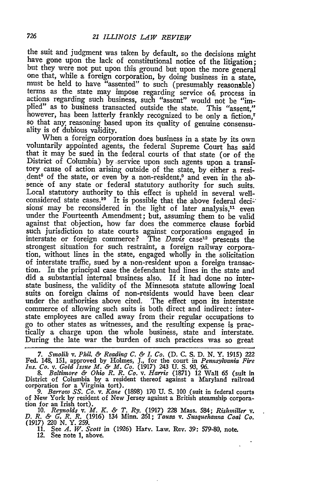the suit and judgment was taken by default, so the decisions might have gone upon the lack of constitutional notice of the litigation; but they were not put upon this ground but upon the more general one that, while a foreign corporation, by doing business in a state, must be held to have "assented" to such (presumably reasonable) terms as the state may impose regarding service of, process in actions regarding such business, such "assent" would not be "implied" as to business transacted outside the state. This "assent," however, has been latterly frankly recognized to be only a fiction,<sup>7</sup> so that any, reasoning based upon its quality of genuine consensuality is of dubious validity.

When a foreign corporation does business in a state by its own voluntarily appointed agents, the federal Supreme Court has said that it may be sued in the federal courts of that state (or of the District of Columbia) by -service upon such agents upon a transitory cause of action arising outside of the state, by either a resident<sup>8</sup> of the state, or even by a non-resident,<sup>9</sup> and even in the absence of any state or federal statutory authority for such suits. Local statutory authority to this effect is upheld in several wellconsidered state cases.<sup>10</sup> It is possible that the above federal decisions may be reconsidered in the light of later analysis,<sup>11</sup> even under the Fourteenth Amendment; but, assuming them to be valid against that objection, how far does the commerce clause forbid such jurisdiction to state courts against corporations engaged in interstate or foreign commerce? The  $Davi\overline{s}$  case<sup>12</sup> presents the strongest situation for such restraint, a foreign railway corpora- tion, without lines in the state, engaged wholly in the solicitation of interstate traffic, sued by a non-resident upon a foreign transaction. In the principal case the defendant had lines in the state and did a substantial internal business also. If it had done no interstate business, the validity of the Minnesota statute allowing local suits on foreign claims of non-residents would have been clear under the authorities above cited. The effect upon its interstate commerce of allowing such suits is both direct and indirect: interstate employees are called away from their regular occupations to go to other states as witnesses, and the resulting expense is prac- tically a charge upon the whole business, state and interstate. During the late war the burden of such practices was so great

7. Smolik v. Phil. & Reading C. & I. Co. (D. C. S. D. N. Y. 1915) 222<br>Fed. 148, 151, approved by Holmes, J., for the court in Pennsylvania Fire<br>Ins. Co. v. Gold Issue M. & M. Co. (1917) 243 U. S. 93, 96.

*8. Baltimore & Ohio R. R. Co. v. Harris* (1871) 12 Wall 65 (suit in District of Columbia **by** a resident thereof against a Maryland railroad corporation for a Virginia tort). 9. *Barrow SS. Co. v. Kane* (1898) 170 **U. S.** 100 (suit in federal courts

of New York by resident of New Jersey against a British steamship corporation for an Irish tort).<br>
10. Reynolds v. M. K. & T. Ry. (1917) 228 Mass. 584; Rishmiller v.<br>
D. R. & G. R. R. (1916) 134 Minn. 261; Tauza v. Susqueh

**11.** See *A. W. Scott* in (1926) Harv. Law. Rev. 39: 579-80, note. 12. See note 1, above.